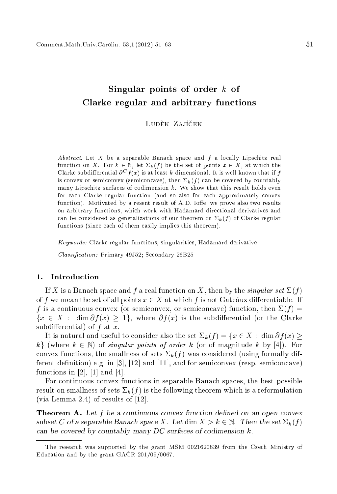# Singular points of order <sup>k</sup> of Clarke regular and arbitrary fun
tions

#### LUDĚK ZAJÍČEK Ludek Zaj
ek

Abstract. Let X be a separable Banach space and  $f$  a locally Lipschitz real function on X. For  $k \in \mathbb{N}$ , let  $\Sigma_k(f)$  be the set of points  $x \in X$ , at which the Clarke subdifferential  $\sigma^*$   $f(x)$  is at least  $\kappa$ -dimensional. It is well-known that if  $f$ is convex or semiconvex (semiconcave), then  $\Sigma_k(f)$  can be covered by countably many Lipschitz surfaces of codimension  $k$ . We show that this result holds even for ea
h Clarke regular fun
tion (and so also for ea
h approximately onvex function). Motivated by a resent result of A.D. Ioffe, we prove also two results on arbitrary fun
tions, whi
h work with Hadamard dire
tional derivatives and can be considered as generalizations of our theorem on  $\Sigma_k(f)$  of Clarke regular functions (since each of them easily implies this theorem).

Keywords: Clarke regular functions, singularities, Hadamard derivative

Classification: Primary 49J52; Secondary 26B25

### 1. Introduction

If X is a Banach space and f a real function on X, then by the *singular set*  $\Sigma(f)$ of f we mean the set of all points  $x \in X$  at which f is not Gateaux differentiable. If f is a continuous convex (or semiconvex, or semiconcave) function, then  $\Sigma(f)$  =  $\{x \in X : \dim \partial f(x) \geq 1\},\$  where  $\partial f(x)$  is the subdifferential (or the Clarke subdifferential) of  $f$  at  $x$ .

It is natural and useful to consider also the set  $\Sigma_k (f) = \{x \in X : \dim \partial f(x) \geq 0\}$ k} (where  $k \in \mathbb{N}$ ) of singular points of order k (or of magnitude k by [4]). For convex functions, the smallness of sets  $\Sigma_k(f)$  was considered (using formally different definition) e.g. in [3],  $[12]$  and  $[11]$ , and for semiconvex (resp. semiconcave) functions in  $[2]$ ,  $[1]$  and  $[4]$ .

For ontinuous onvex fun
tions in separable Bana
h spa
es, the best possible result on smallness of sets  $\Sigma_k(f)$  is the following theorem which is a reformulation (via Lemma 2.4) of results of  $[12]$ .

**Theorem A.** Let f be a continuous convex function defined on an open convex subset C of a separable Banach space X. Let dim  $X > k \in \mathbb{N}$ . Then the set  $\Sigma_k(f)$ an be overed by ountably many DC surfa
es of odimension k.

The resear
h was supported by the grant MSM 0021620839 from the Cze
h Ministry of Education and by the grant GAČR 201/09/0067.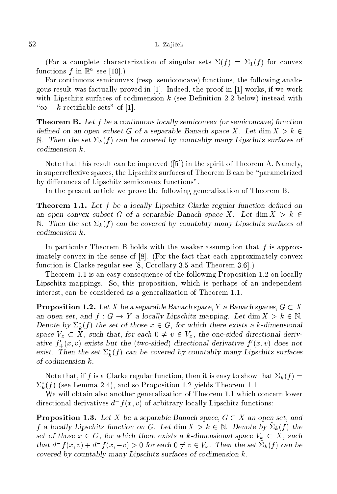### 52 L. Zajíček

(For a complete characterization of singular sets  $\Sigma(f) = \Sigma_1(f)$  for convex functions f in  $\mathbb{R}^n$  see [10].)

For continuous semiconvex (resp. semiconcave) functions, the following analogous result was factually proved in  $[1]$ . Indeed, the proof in  $[1]$  works, if we work with Lipschitz surfaces of codimension  $k$  (see Definition 2.2 below) instead with " $\infty - k$  rectifiable sets" of [1].

**Theorem B.** Let f be a continuous locally semiconvex (or semiconcave) function defined on an open subset G of a separable Banach space X. Let  $\dim X > k$ N. Then the set  $\Sigma_k(f)$  can be covered by countably many Lipschitz surfaces of odimension k.

Note that this result can be improved  $([5])$  in the spirit of Theorem A. Namely, in superreflexive spaces, the Lipschitz surfaces of Theorem B can be "parametrized by differences of Lipschitz semiconvex functions".

In the present article we prove the following generalization of Theorem B.

**Theorem 1.1.** Let  $f$  be a locally Lipschitz Clarke regular function defined on an open convex subset G of a separable Banach space X. Let  $\dim X > k$ N. Then the set  $\Sigma_k(f)$  can be covered by countably many Lipschitz surfaces of odimension k.

In particular Theorem B holds with the weaker assumption that  $f$  is approximately convex in the sense of  $[8]$ . (For the fact that each approximately convex function is Clarke regular see  $[8, Corollary 3.5 and Theorem 3.6].$ 

Theorem 1.1 is an easy consequence of the following Proposition 1.2 on locally Lips
hitz mappings. So, this proposition, whi
h is perhaps of an independent interest, an be onsidered as a generalization of Theorem 1.1.

**Proposition 1.2.** Let X be a separable Banach space, Y a Banach spaces,  $G \subset X$ an open set, and  $f: G \to Y$  a locally Lipschitz mapping. Let  $\dim X > k \in \mathbb{N}$ . Denote by  $\Sigma_k^*(f)$  the set of those  $x \in G$ , for which there exists a k-dimensional space  $V_x \subset X$ , such that, for each  $0 \neq v \in V_x$ , the one-sided directional derivative  $f'_{+}(x, v)$  exists but the (two-sided) directional derivative  $f'(x, v)$  does not exist. Then the set  $\Sigma_k^*(f)$  can be covered by countably many Lipschitz surfaces of odimension k.

Note that, if f is a Clarke regular function, then it is easy to show that  $\Sigma_k(f)$  =  $\Sigma_k^*(f)$  (see Lemma 2.4), and so Proposition 1.2 yields Theorem 1.1.

We will obtain also another generalization of Theorem 1.1 which concern lower directional derivatives  $d^-f(x,v)$  of arbitrary locally Lipschitz functions:

**Proposition 1.3.** Let X be a separable Banach space,  $G \subset X$  an open set, and f a locally Lipschitz function on G. Let  $\dim X > k \in \mathbb{N}$ . Denote by  $\Sigma_k(f)$  the set of those  $x \in G$ , for which there exists a k-dimensional space  $V_x \subset X$ , such that  $d^- f(x, v) + d^- f(x, -v) > 0$  for each  $0 \neq v \in V_x$ . Then the set  $\Sigma_k(f)$  can be overed by ountably many Lips
hitz surfa
es of odimension k.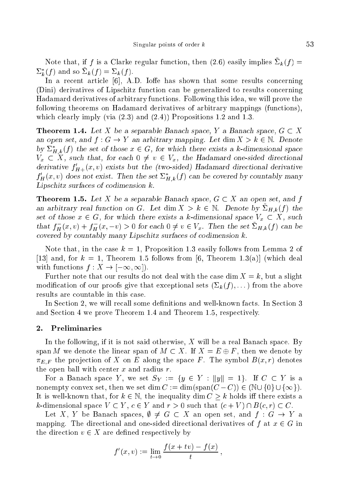Note that, if f is a Clarke regular function, then  $(2.6)$  easily implies  $\Sigma_k(f)$  =  $\Sigma_k^*(f)$  and so  $\Sigma_k(f) = \Sigma_k(f)$ .

In a recent article  $[6]$ , A.D. Ioffe has shown that some results concerning (Dini) derivatives of Lips
hitz fun
tion an be generalized to results on
erning Hadamard derivatives of arbitrary fun
tions. Following this idea, we will prove the following theorems on Hadamard derivatives of arbitrary mappings (fun
tions), which clearly imply (via  $(2.3)$  and  $(2.4)$ ) Propositions 1.2 and 1.3.

**Theorem 1.4.** Let X be a separable Banach space, Y a Banach space,  $G \subset X$ an open set, and  $f : G \to Y$  an arbitrary mapping. Let dim  $X > k \in \mathbb{N}$ . Denote by  $\Sigma_{H,k}^*(f)$  the set of those  $x \in G$ , for which there exists a k-dimensional space  $V_x \subset X$ , such that, for each  $0 \neq v \in V_x$ , the Hadamard one-sided directional derivative  $f'_{H+}(x, v)$  exists but the (two-sided) Hadamard directional derivative  $f'_{H}(x, v)$  does not exist. Then the set  $\Sigma_{H,k}^{*}(f)$  can be covered by countably many Lipschitz surfaces of codimension k.

**Theorem 1.5.** Let X be a separable Banach space,  $G \subset X$  an open set, and f an arbitrary real function on G. Let dim  $X > k \in \mathbb{N}$ . Denote by  $\Sigma_{H,k}(f)$  the set of those  $x \in G$ , for which there exists a k-dimensional space  $V_x \subset X$ , such that  $f_H^-(x,v) + f_H^-(x,-v) > 0$  for each  $0 \neq v \in V_x$ . Then the set  $\Sigma_{H,k}(f)$  can be overed by ountably many Lips
hitz surfa
es of odimension k.

Note that, in the case  $k = 1$ , Proposition 1.3 easily follows from Lemma 2 of [13] and, for  $k = 1$ , Theorem 1.5 follows from [6, Theorem 1.3(a)] (which deal with functions  $f: X \to [-\infty, \infty]$ .

Further note that our results do not deal with the case dim  $X = k$ , but a slight modification of our proofs give that exceptional sets  $(\Sigma_k(f), \dots)$  from the above results are ountable in this ase.

In Section 2, we will recall some definitions and well-known facts. In Section 3 and Se
tion 4 we prove Theorem 1.4 and Theorem 1.5, respe
tively.

### 2. Preliminaries

In the following, if it is not said otherwise,  $X$  will be a real Banach space. By span M we denote the linear span of  $M \subset X$ . If  $X = E \oplus F$ , then we denote by  $\pi_{E,F}$  the projection of X on E along the space F. The symbol  $B(x,r)$  denotes the open ball with center  $x$  and radius  $r$ .

For a Banach space Y, we set  $S_Y := \{y \in Y : ||y|| = 1\}$ . If  $C \subset Y$  is a nonempty convex set, then we set dim  $C := \dim(\text{span}(C - C)) \in (\mathbb{N} \cup \{0\} \cup \{\infty\}).$ It is well-known that, for  $k \in \mathbb{N}$ , the inequality  $\dim C > k$  holds iff there exists a k-dimensional space  $V \subset Y$ ,  $c \in Y$  and  $r > 0$  such that  $(c + V) \cap B(c, r) \subset C$ .

Let X, Y be Banach spaces,  $\emptyset \neq G \subset X$  an open set, and  $f : G \to Y$  a mapping. The directional and one-sided directional derivatives of  $f$  at  $x \in G$  in the direction  $v \in X$  are defined respectively by

$$
f'(x,v) := \lim_{t \to 0} \frac{f(x + tv) - f(x)}{t},
$$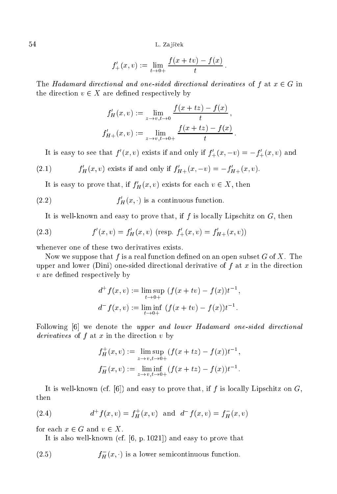54 L. Zajíček

$$
f'_{+}(x,v) := \lim_{t \to 0+} \frac{f(x+tv) - f(x)}{t}
$$

The Hadamard directional and one-sided directional derivatives of f at  $x \in G$  in the direction  $v \in X$  are defined respectively by

$$
f'_H(x, v) := \lim_{z \to v, t \to 0} \frac{f(x + tz) - f(x)}{t},
$$
  

$$
f'_{H+}(x, v) := \lim_{z \to v, t \to 0+} \frac{f(x + tz) - f(x)}{t}
$$

It is easy to see that  $f'(x, v)$  exists if and only if  $f'_{+}(x, -v) = -f'_{+}(x, v)$  and

(2.1) 
$$
f'_{H}(x, v) \text{ exists if and only if } f'_{H+}(x, -v) = -f'_{H+}(x, v).
$$

It is easy to prove that, if  $f'_{H}(x, v)$  exists for each  $v \in X$ , then

(2.2) 
$$
f'_H(x, \cdot)
$$
 is a continuous function.

It is well-known and easy to prove that, if  $f$  is locally Lipschitz on  $G$ , then

(2.3) 
$$
f'(x, v) = f'_H(x, v) \text{ (resp. } f'_+(x, v) = f'_{H^+}(x, v))
$$

whenever one of these two derivatives exists.

Now we suppose that  $f$  is a real function defined on an open subset  $G$  of  $X$ . The upper and lower (Dini) one-sided directional derivative of  $f$  at  $x$  in the direction  $v$  are defined respectively by

$$
d^+ f(x, v) := \lim_{t \to 0+} \sup_{t \to 0+} (f(x + tv) - f(x))t^{-1},
$$
  

$$
d^- f(x, v) := \liminf_{t \to 0+} (f(x + tv) - f(x))t^{-1}.
$$

Following  $[6]$  we denote the *upper and lower Hadamard one-sided directional* derivatives of  $f$  at  $x$  in the direction  $v$  by

$$
f_H^+(x, v) := \limsup_{z \to v, t \to 0+} (f(x + tz) - f(x))t^{-1},
$$
  
\n
$$
f_H^-(x, v) := \liminf_{z \to v, t \to 0+} (f(x + tz) - f(x))t^{-1}.
$$

It is well-known (cf.  $[6]$ ) and easy to prove that, if f is locally Lipschitz on G, then

(2.4) 
$$
d^+f(x,v) = f^+_H(x,v) \text{ and } d^-f(x,v) = f^-_H(x,v)
$$

for each  $x \in G$  and  $v \in X$ .

It is also well-known (cf.  $[6, p. 1021]$ ) and easy to prove that

 $(2.5)$  $f_H^-(x, \cdot)$  is a lower semicontinuous function.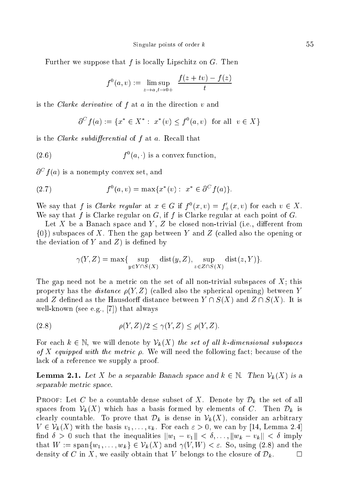Further we suppose that  $f$  is locally Lipschitz on  $G$ . Then

$$
f^{0}(a, v) := \limsup_{z \to a, t \to 0+} \frac{f(z + tv) - f(z)}{t}
$$

is the *Clarke derivative* of f at a in the direction  $v$  and

$$
\partial^C f(a) := \{ x^* \in X^* : \ x^*(v) \le f^0(a, v) \text{ for all } v \in X \}
$$

is the *Clarke subdifferential* of  $f$  at  $a$ . Recall that

(2.6) 
$$
f^{0}(a, \cdot)
$$
 is a convex function,

 $\partial^C f(a)$  is a nonempty convex set, and

(2.7) 
$$
f^{0}(a,v) = \max\{x^{*}(v): x^{*} \in \partial^{C} f(a)\}.
$$

We say that f is *Clarke regular* at  $x \in G$  if  $f^0(x, v) = f'_+(x, v)$  for each  $v \in X$ . We say that  $f$  is Clarke regular on  $G$ , if  $f$  is Clarke regular at each point of  $G$ .

Let X be a Banach space and Y, Z be closed non-trivial (i.e., different from  $\{0\}$ ) subspaces of X. Then the gap between Y and Z (called also the opening or the deviation of  $Y$  and  $Z$ ) is defined by

$$
\gamma(Y,Z) = \max\{\sup_{y \in Y \cap S(X)} \text{dist}(y,Z), \sup_{z \in Z \cap S(X)} \text{dist}(z,Y)\}.
$$

The gap need not be a metric on the set of all non-trivial subspaces of  $X$ ; this property has the *distance*  $\rho(Y, Z)$  (called also the spherical opening) between Y and Z defined as the Hausdorff distance between  $Y \cap S(X)$  and  $Z \cap S(X)$ . It is well-known (see e.g., [7]) that always

$$
\rho(Y, Z)/2 \le \gamma(Y, Z) \le \rho(Y, Z).
$$

For each  $k \in \mathbb{N}$ , we will denote by  $\mathcal{V}_k(X)$  the set of all k-dimensional subspaces of X equipped with the metric  $\rho$ . We will need the following fact; because of the la
k of a referen
e we supply a proof.

**Lemma 2.1.** Let X be a separable Banach space and  $k \in \mathbb{N}$ . Then  $\mathcal{V}_k(X)$  is a separate metric metric metric metric metric metric metric metric metric metric metric metric metric metric met<br>Expanding

**PROOF:** Let C be a countable dense subset of X. Denote by  $\mathcal{D}_k$  the set of all spaces from  $\mathcal{V}_k(X)$  which has a basis formed by elements of C. Then  $\mathcal{D}_k$  is clearly countable. To prove that  $\mathcal{D}_k$  is dense in  $\mathcal{V}_k(X)$ , consider an arbitrary  $V \in \mathcal{V}_k(X)$  with the basis  $v_1, \ldots, v_k$ . For each  $\varepsilon > 0$ , we can by [14, Lemma 2.4] find  $\delta > 0$  such that the inequalities  $||w_1 - v_1|| < \delta, \ldots, ||w_k - v_k|| < \delta$  imply that  $W := \text{span}\{w_1, \ldots, w_k\} \in V_k(X)$  and  $\gamma(V, W) < \varepsilon$ . So, using (2.8) and the density of C in X, we easily obtain that V belongs to the closure of  $\mathcal{D}_k$ .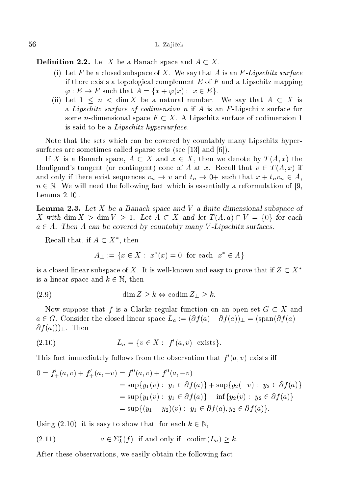**Definition 2.2.** Let X be a Banach space and  $A \subset X$ .

- (i) Let F be a closed subspace of X. We say that A is an F-Lipschitz surface if there exists a topological complement  $E$  of  $F$  and a Lipschitz mapping  $\varphi: E \to F$  such that  $A = \{x + \varphi(x): x \in E\}.$
- (ii) Let  $1 \leq n \leq \dim X$  be a natural number. We say that  $A \subset X$  is a Lipschitz surface of codimension  $n$  if  $A$  is an  $F$ -Lipschitz surface for some *n*-dimensional space  $F \subset X$ . A Lipschitz surface of codimension 1 is said to be a *Lipschitz hypersurface*.

Note that the sets which can be covered by countably many Lipschitz hypersurfaces are sometimes called sparse sets (see [13] and [6]).

If X is a Banach space,  $A \subset X$  and  $x \in X$ , then we denote by  $T(A, x)$  the Bouligand's tangent (or contingent) cone of A at x. Recall that  $v \in T(A, x)$  if and only if there exist sequences  $v_n \to v$  and  $t_n \to 0$ + such that  $x + t_n v_n \in A$ ,  $n \in \mathbb{N}$ . We will need the following fact which is essentially a reformulation of [9, Lemma  $2.10$ .

**Lemma 2.3.** Let X be a Banach space and V a finite dimensional subspace of X with dim  $X > \dim V > 1$ . Let  $A \subset X$  and let  $T(A, a) \cap V = \{0\}$  for each  $a \in A$ . Then A can be covered by countably many V-Lipschitz surfaces.

Recall that, if  $A \subset X^*$ , then

$$
A_{\perp} := \{x \in X : x^*(x) = 0 \text{ for each } x^* \in A\}
$$

is a closed linear subspace of X. It is well-known and easy to prove that if  $Z \subset X^*$ is a linear space and  $k \in \mathbb{N}$ , then

$$
(2.9) \t\dim Z \ge k \Leftrightarrow \text{codim } Z_{\perp} \ge k.
$$

Now suppose that f is a Clarke regular function on an open set  $G \subset X$  and  $a \in G$ . Consider the closed linear space  $L_a := (\partial f(a) - \partial f(a))_{+} = (\text{span}(\partial f(a) \partial f(a))$ . Then

(2.10) 
$$
L_a = \{v \in X : f'(a, v) \text{ exists}\}.
$$

This fact immediately follows from the observation that  $f'(a, v)$  exists iff

$$
0 = f'_{+}(a, v) + f'_{+}(a, -v) = f^{0}(a, v) + f^{0}(a, -v)
$$
  
=  $\sup\{y_{1}(v) : y_{1} \in \partial f(a)\} + \sup\{y_{2}(-v) : y_{2} \in \partial f(a)\}$   
=  $\sup\{y_{1}(v) : y_{1} \in \partial f(a)\} - \inf\{y_{2}(v) : y_{2} \in \partial f(a)\}$   
=  $\sup\{(y_{1} - y_{2})(v) : y_{1} \in \partial f(a), y_{2} \in \partial f(a)\}.$ 

Using (2.10), it is easy to show that, for each  $k \in \mathbb{N}$ ,

(2.11) 
$$
a \in \Sigma_k^*(f) \text{ if and only if } \operatorname{codim}(L_a) \geq k.
$$

After these observations, we easily obtain the following fact.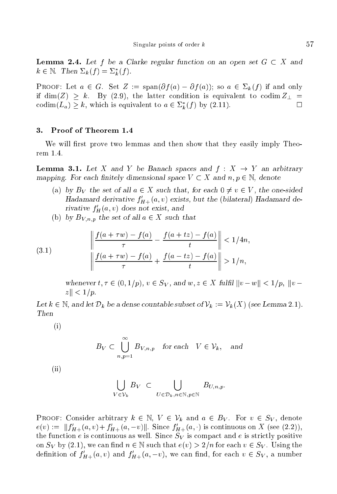**Lemma 2.4.** Let f be a Clarke regular function on an open set  $G \subset X$  and  $k \in \mathbb{N}$ . Then  $\Sigma_k (f) = \Sigma_k^* (f)$ .

**PROOF:** Let  $a \in G$ . Set  $Z := \text{span}(\partial f(a) - \partial f(a))$ ; so  $a \in \Sigma_k(f)$  if and only if dim(Z) > k. By (2.9), the latter condition is equivalent to codim  $Z_{\perp}$  =  $\operatorname{codim}(L_a) \geq k$ , which is equivalent to  $a \in \Sigma_k^*(f)$  by  $(2.11)$ .

## 3. Proof of Theorem 1.4

We will first prove two lemmas and then show that they easily imply Theorem 1.4.

**Lemma 3.1.** Let X and Y be Banach spaces and  $f : X \rightarrow Y$  an arbitrary mapping. For each finitely dimensional space  $V \subset X$  and  $n, p \in \mathbb{N}$ , denote

- (a) by B<sub>V</sub> the set of all  $a \in X$  such that, for each  $0 \neq v \in V$ , the one-sided Hadamard derivative  $f'_{H+}(a, v)$  exists, but the (bilateral) Hadamard derivative  $f'_{H}(a, v)$  does not exist, and
- (b) by  $B_{V,n,p}$  the set of all  $a \in X$  such that

(3.1) 
$$
\left\| \frac{f(a + \tau w) - f(a)}{\tau} - \frac{f(a + tz) - f(a)}{t} \right\| < 1/4n,
$$

$$
\left\| \frac{f(a + \tau w) - f(a)}{\tau} + \frac{f(a - tz) - f(a)}{t} \right\| > 1/n,
$$

whenever  $t, \tau \in (0, 1/p), v \in S_V$ , and  $w, z \in X$  fulfil  $||v-w|| < 1/p$ ,  $||v-w||$  $|z| < 1/p$ .

Let  $k \in \mathbb{N}$ , and let  $\mathcal{D}_k$  be a dense countable subset of  $\mathcal{V}_k := \mathcal{V}_k(X)$  (see Lemma 2.1). Then

(i)

$$
B_V \subset \bigcup_{n,p=1}^{\infty} B_{V,n,p}
$$
 for each  $V \in \mathcal{V}_k$ , and

(ii)

$$
\bigcup_{V \in \mathcal{V}_k} B_V \subset \bigcup_{U \in \mathcal{D}_k, n \in \mathbb{N}, p \in \mathbb{N}} B_{U,n,p}.
$$

**PROOF:** Consider arbitrary  $k \in \mathbb{N}$ ,  $V \in \mathcal{V}_k$  and  $a \in B_V$ . For  $v \in S_V$ , denote  $e(v) := \|f'_{H+}(a,v)+f'_{H+}(a,-v)\|$ . Since  $f'_{H+}(a,\cdot)$  is continuous on X (see (2.2)), the function e is continuous as well. Since  $S_V$  is compact and e is strictly positive on  $S_V$  by (2.1), we can find  $n \in \mathbb{N}$  such that  $e(v) > 2/n$  for each  $v \in S_V$ . Using the definition of  $f'_{H+}(a, v)$  and  $f'_{H+}(a, -v)$ , we can find, for each  $v \in S_V$ , a number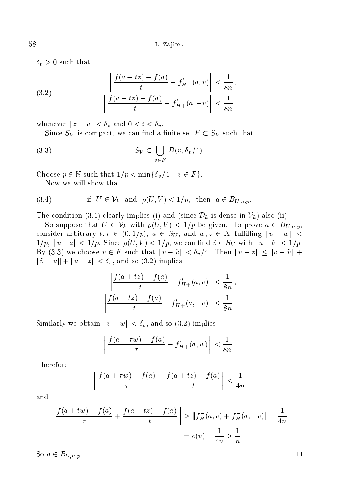$\delta_v > 0$  such that

(3.2) 
$$
\left\| \frac{f(a+tz) - f(a)}{t} - f'_{H+}(a, v) \right\| < \frac{1}{8n}
$$

$$
\left\| \frac{f(a-tz) - f(a)}{t} - f'_{H+}(a, -v) \right\| < \frac{1}{8n}
$$

whenever  $||z - v|| < \delta_v$  and  $0 < t < \delta_v$ .

Since  $S_V$  is compact, we can find a finite set  $F \subset S_V$  such that

$$
(3.3) \t S_V \subset \bigcup_{v \in F} B(v, \delta_v/4).
$$

Choose  $p \in \mathbb{N}$  such that  $1/p < \min\{\delta_v/4 : v \in F\}.$ 

Now we will show that

(3.4) if 
$$
U \in \mathcal{V}_k
$$
 and  $\rho(U, V) < 1/p$ , then  $a \in B_{U, n, p}$ .

The condition (3.4) clearly implies (i) and (since  $\mathcal{D}_k$  is dense in  $\mathcal{V}_k$ ) also (ii).

So suppose that  $U \in \mathcal{V}_k$  with  $\rho(U, V) < 1/p$  be given. To prove  $a \in B_{U,n,p}$ , consider arbitrary  $t, \tau \in (0, 1/p), u \in S_U$ , and  $w, z \in X$  fulfilling  $||u - w|| <$  $1/p, \|u-z\| < 1/p.$  Since  $\rho(U,V) < 1/p$ , we can find  $\tilde{v} \in S_V$  with  $\|u-\tilde{v}\| < 1/p$ . By (3.3) we choose  $v \in F$  such that  $||v - \tilde{v}|| < \delta_v/4$ . Then  $||v - z|| \le ||v - \tilde{v}|| +$  $\|\tilde{v} - u\| + \|u - z\| < \delta_v$ , and so (3.2) implies

$$
\left\| \frac{f(a+tz) - f(a)}{t} - f'_{H+}(a, v) \right\| < \frac{1}{8n},
$$
\n
$$
\left| \frac{f(a-tz) - f(a)}{t} - f'_{H+}(a, -v) \right| < \frac{1}{8n}.
$$

Similarly we obtain  $||v - w|| < \delta_v$ , and so (3.2) implies

$$
\left|\frac{f(a+\tau w)-f(a)}{\tau}-f'_{H+}(a,w)\right|<\frac{1}{8n}.
$$

Therefore

$$
\left\| \frac{f(a+\tau w)-f(a)}{\tau} - \frac{f(a+tz)-f(a)}{t} \right\| < \frac{1}{4n}
$$

and

$$
\left\| \frac{f(a+tw) - f(a)}{\tau} + \frac{f(a-tz) - f(a)}{t} \right\| > \|f_H^-(a, v) + f_H^-(a, -v)\| - \frac{1}{4n}
$$

$$
= e(v) - \frac{1}{4n} > \frac{1}{n}.
$$

So  $a \in B_{U,n,p}$ .

 $\Box$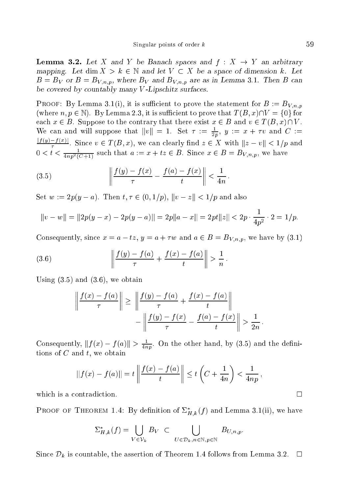**Lemma 3.2.** Let X and Y be Banach spaces and  $f: X \rightarrow Y$  an arbitrary mapping. Let dim  $X > k \in \mathbb{N}$  and let  $V \subset X$  be a space of dimension k. Let  $B = B_V$  or  $B = B_{V,n,p}$ , where  $B_V$  and  $B_{V,n,p}$  are as in Lemma 3.1. Then B can be covered by countably many V-Lipschitz surfaces.

**PROOF:** By Lemma 3.1(i), it is sufficient to prove the statement for  $B := B_{V,n,n}$ (where  $n, p \in \mathbb{N}$ ). By Lemma 2.3, it is sufficient to prove that  $T(B, x) \cap V = \{0\}$  for each  $x \in B$ . Suppose to the contrary that there exist  $x \in B$  and  $v \in T(B, x) \cap V$ . We can and will suppose that  $||v|| = 1$ . Set  $\tau := \frac{1}{2p}$ ,  $y := x + \tau v$  and  $C :=$ <u> $\frac{|f(y)-f(x)|}{\tau}$ </u>. Since  $v \in T(B, x)$ , we can clearly find  $z \in X$  with  $||z - v|| < 1/p$  and  $0 < t < \frac{1}{4np^2(C+1)}$  such that  $a := x + tz \in B$ . Since  $x \in B = B_{V,n,p}$ , we have

(3.5) 
$$
\left\| \frac{f(y) - f(x)}{\tau} - \frac{f(a) - f(x)}{t} \right\| < \frac{1}{4n}
$$

Set  $w := 2p(y - a)$ . Then  $t, \tau \in (0, 1/p)$ ,  $||v - z|| < 1/p$  and also

$$
||v - w|| = ||2p(y - x) - 2p(y - a)|| = 2p||a - x|| = 2pt||z|| < 2p \cdot \frac{1}{4p^2} \cdot 2 = 1/p.
$$

Consequently, since  $x = a - tz$ ,  $y = a + \tau w$  and  $a \in B = B_{V,n,p}$ , we have by (3.1)

(3.6) 
$$
\left\| \frac{f(y) - f(a)}{\tau} + \frac{f(x) - f(a)}{t} \right\| > \frac{1}{n}
$$

Using  $(3.5)$  and  $(3.6)$ , we obtain

$$
\left\| \frac{f(x) - f(a)}{\tau} \right\| \ge \left\| \frac{f(y) - f(a)}{\tau} + \frac{f(x) - f(a)}{t} \right\|
$$

$$
-\left\| \frac{f(y) - f(x)}{\tau} - \frac{f(a) - f(x)}{t} \right\| > \frac{1}{2n}.
$$

Consequently,  $|| f(x) - f(a)|| > \frac{1}{4np}$ . On the other hand, by (3.5) and the definitions of  $C$  and  $t$ , we obtain

$$
||f(x) - f(a)|| = t \left\| \frac{f(x) - f(a)}{t} \right\| \le t \left( C + \frac{1}{4n} \right) < \frac{1}{4np},
$$

which is a contradiction.

**PROOF OF THEOREM 1.4:** By definition of  $\Sigma_{H,k}^*(f)$  and Lemma 3.1(ii), we have

$$
\Sigma_{H,k}^*(f) = \bigcup_{V \in \mathcal{V}_k} B_V \subset \bigcup_{U \in \mathcal{D}_k, n \in \mathbb{N}, p \in \mathbb{N}} B_{U,n,p}
$$

Since  $\mathcal{D}_k$  is countable, the assertion of Theorem 1.4 follows from Lemma 3.2.  $\Box$ 

 $\Box$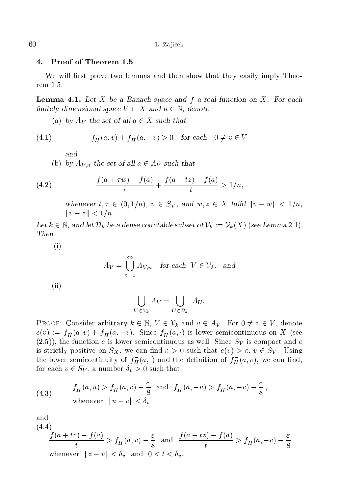#### 4. Proof of Theorem 1.5

We will first prove two lemmas and then show that they easily imply Theorem 1.5.

**Lemma 4.1.** Let  $X$  be a Banach space and  $f$  a real function on  $X$ . For each finitely dimensional space  $V \subset X$  and  $n \in \mathbb{N}$ , denote

(a) by  $A_V$  the set of all  $a \in X$  such that

(4.1) 
$$
f_H^-(a, v) + f_H^-(a, -v) > 0 \quad \text{for each} \quad 0 \neq v \in V
$$

and

(b) by  $A_{V,n}$  the set of all  $a \in A_V$  such that

(4.2) 
$$
\frac{f(a+\tau w)-f(a)}{\tau}+\frac{f(a-tz)-f(a)}{t} > 1/n,
$$

whenever  $t, \tau \in (0, 1/n), v \in S_V$ , and  $w, z \in X$  fulfil  $||v - w|| < 1/n$ ,  $||v - z|| < 1/n$ .

Let  $k \in \mathbb{N}$ , and let  $\mathcal{D}_k$  be a dense countable subset of  $\mathcal{V}_k := \mathcal{V}_k(X)$  (see Lemma 2.1). Then

(i)

$$
A_V = \bigcup_{n=1}^{\infty} A_{V,n} \quad \text{for each } V \in \mathcal{V}_k, \text{ and}
$$

(ii)

$$
\bigcup_{V \in \mathcal{V}_k} A_V = \bigcup_{U \in \mathcal{D}_k} A_U.
$$

PROOF: Consider arbitrary  $k \in \mathbb{N}$ ,  $V \in \mathcal{V}_k$  and  $a \in A_V$ . For  $0 \neq v \in V$ , denote  $e(v) := f_H^-(a, v) + f_H^-(a, -v)$ . Since  $f_H^-(a, \cdot)$  is lower semicontinuous on X (see  $(2.5)$ , the function e is lower semicontinuous as well. Since  $S_V$  is compact and e is strictly positive on  $S_X$ , we can find  $\varepsilon > 0$  such that  $e(v) > \varepsilon$ ,  $v \in S_Y$ . Using the lower semicontinuity of  $f^-_H(a,\cdot)$  and the definition of  $f^-_H(a,v),$  we can find, for each  $v \in S_V$ , a number  $\delta_v > 0$  such that

(4.3) 
$$
f_H^-(a, u) > f_H^-(a, v) - \frac{\varepsilon}{8}
$$
 and  $f_H^-(a, -u) > f_H^-(a, -v) - \frac{\varepsilon}{8}$ ,  
whenever  $||u - v|| < \delta_v$ 

and

$$
\frac{f(a+tz) - f(a)}{t} > f_H^-(a, v) - \frac{\varepsilon}{8} \text{ and } \frac{f(a-tz) - f(a)}{t} > f_H^-(a, -v) - \frac{\varepsilon}{8}
$$
\n
$$
\text{whenever } ||z - v|| < \delta_v \text{ and } 0 < t < \delta_v.
$$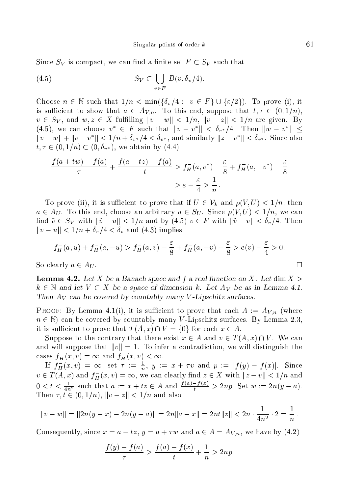Since  $S_V$  is compact, we can find a finite set  $F \subset S_V$  such that

(4.5) 
$$
S_V \subset \bigcup_{v \in F} B(v, \delta_v/4).
$$

Choose  $n \in \mathbb{N}$  such that  $1/n < \min(\{\delta_v/4 : v \in F\} \cup \{\varepsilon/2\})$ . To prove (i), it is sufficient to show that  $a \in A_{V,n}$ . To this end, suppose that  $t, \tau \in (0,1/n)$ ,  $v \in S_V$ , and  $w, z \in X$  fulfilling  $||v - w|| < 1/n$ ,  $||v - z|| < 1/n$  are given. By (4.5), we can choose  $v^* \in F$  such that  $||v - v^*|| < \delta_{v^*}/4$ . Then  $||w - v^*|| <$  $||v - w|| + ||v - v^*|| < 1/n + \delta_{v^*}/4 < \delta_{v^*}$ , and similarly  $||z - v^*|| < \delta_{v^*}$ . Since also  $t, \tau \in (0, 1/n) \subset (0, \delta_{v^*})$ , we obtain by (4.4)

$$
\frac{f(a+tw)-f(a)}{\tau} + \frac{f(a-tz)-f(a)}{t} > f_H^-(a, v^*) - \frac{\varepsilon}{8} + f_H^-(a, -v^*) - \frac{\varepsilon}{8} \\
&> \varepsilon - \frac{\varepsilon}{4} > \frac{1}{n}.
$$

To prove (ii), it is sufficient to prove that if  $U \in \mathcal{V}_k$  and  $\rho(V, U) < 1/n$ , then  $a \in A_U$ . To this end, choose an arbitrary  $u \in S_U$ . Since  $\rho(V, U) < 1/n$ , we can find  $\tilde{v} \in S_V$  with  $\|\tilde{v} - u\| < 1/n$  and by  $(4.5)$   $v \in F$  with  $\|\tilde{v} - v\| < \delta_v/4$ . Then  $||v-u|| < 1/n + \delta_v/4 < \delta_v$  and (4.3) implies

$$
f_H^-(a, u) + f_H^-(a, -u) > f_H^-(a, v) - \frac{\varepsilon}{8} + f_H^-(a, -v) - \frac{\varepsilon}{8} > e(v) - \frac{\varepsilon}{4} > 0.
$$

So clearly  $a \in A_U$ .

**Lemma 4.2.** Let X be a Banach space and f a real function on X. Let dim  $X >$  $k \in \mathbb{N}$  and let  $V \subset X$  be a space of dimension k. Let  $A_V$  be as in Lemma 4.1. Then  $A_V$  can be covered by countably many V-Lipschitz surfaces.

PROOF: By Lemma 4.1(i), it is sufficient to prove that each  $A := A_{V,n}$  (where  $n \in \mathbb{N}$  can be covered by countably many V-Lipschitz surfaces. By Lemma 2.3, it is sufficient to prove that  $T(A, x) \cap V = \{0\}$  for each  $x \in A$ .

Suppose to the contrary that there exist  $x \in A$  and  $v \in T(A,x) \cap V$ . We can and will suppose that  $||v|| = 1$ . To infer a contradiction, we will distinguish the cases  $f_H^-(x, v) = \infty$  and  $f_H^-(x, v) < \infty$ .

If  $f_H^-(x,v) = \infty$ , set  $\tau := \frac{1}{n}$ ,  $y := x + \tau v$  and  $p := |f(y) - f(x)|$ . Since  $v \in T(A, x)$  and  $f_{\overline{H}}(x, v) = \infty$ , we can clearly find  $z \in X$  with  $||z - v|| < 1/n$  and  $0 < t < \frac{1}{4n^2}$  such that  $a := x + tz \in A$  and  $\frac{f(a) - f(x)}{t} > 2np$ . Set  $w := 2n(y - a)$ . Then  $\tau, t \in (0, 1/n)$ ,  $||v - z|| < 1/n$  and also

$$
||v - w|| = ||2n(y - x) - 2n(y - a)|| = 2n||a - x|| = 2nt||z|| < 2n \cdot \frac{1}{4n^2} \cdot 2 = \frac{1}{n}.
$$

Consequently, since  $x = a - tz$ ,  $y = a + \tau w$  and  $a \in A = A_{V,n}$ , we have by (4.2)

$$
\frac{f(y) - f(a)}{\tau} > \frac{f(a) - f(x)}{t} + \frac{1}{n} > 2np.
$$

$$
\sqsubseteq
$$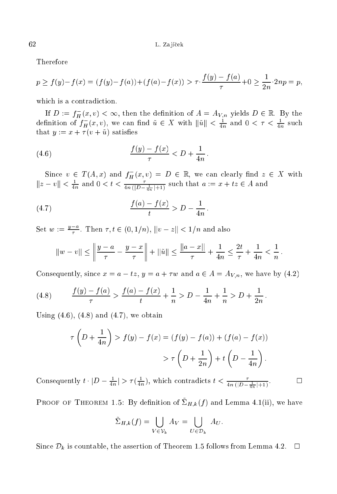Therefore

$$
p \ge f(y) - f(x) = (f(y) - f(a)) + (f(a) - f(x)) > \tau \cdot \frac{f(y) - f(a)}{\tau} + 0 \ge \frac{1}{2n} \cdot 2np = p,
$$

which is a contradiction.

If  $D := f_H^-(x, v) < \infty$ , then the definition of  $A = A_{V,n}$  yields  $D \in \mathbb{R}$ . By the definition of  $f_H^-(x, v)$ , we can find  $\tilde{u} \in X$  with  $\|\tilde{u}\| < \frac{1}{4n}$  and  $0 < \tau < \frac{1}{4n}$  such that  $y := x + \tau(v + \tilde{u})$  satisfies

(4.6) 
$$
\frac{f(y) - f(x)}{\tau} < D + \frac{1}{4n}
$$

Since  $v \in T(A, x)$  and  $f_H^-(x, v) = D \in \mathbb{R}$ , we can clearly find  $z \in X$  with  $||z - v|| < \frac{1}{4n}$  and  $0 < t < \frac{\tau}{4n(|D - \frac{1}{4n}| + 1)}$  such that  $a := x + tz \in A$  and

(4.7) 
$$
\frac{f(a) - f(x)}{t} > D - \frac{1}{4n}
$$

Set  $w := \frac{y-a}{\tau}$ . Then  $\tau, t \in (0, 1/n)$ ,  $||v - z|| < 1/n$  and also

$$
||w - v|| \le \left\| \frac{y - a}{\tau} - \frac{y - x}{\tau} \right\| + ||\tilde{u}|| \le \frac{||a - x||}{\tau} + \frac{1}{4n} \le \frac{2t}{\tau} + \frac{1}{4n} < \frac{1}{n}
$$

Consequently, since  $x = a - tz$ ,  $y = a + \tau w$  and  $a \in A = A_{V,n}$ , we have by (4.2)

(4.8) 
$$
\frac{f(y) - f(a)}{\tau} > \frac{f(a) - f(x)}{t} + \frac{1}{n} > D - \frac{1}{4n} + \frac{1}{n} > D + \frac{1}{2n}
$$

Using  $(4.6)$ ,  $(4.8)$  and  $(4.7)$ , we obtain

$$
\tau\left(D+\frac{1}{4n}\right) > f(y) - f(x) = (f(y) - f(a)) + (f(a) - f(x))
$$

$$
> \tau\left(D+\frac{1}{2n}\right) + t\left(D-\frac{1}{4n}\right).
$$

Consequently  $t \cdot |D - \frac{1}{4n}| > \tau(\frac{1}{4n})$ , which contradicts  $t < \frac{\tau}{4n(|D - \frac{1}{4n}| + 1)}$ .  $\Box$ 

PROOF OF THEOREM 1.5: By definition of  $\tilde{\Sigma}_{H,k}(f)$  and Lemma 4.1(ii), we have

$$
\tilde{\Sigma}_{H,k}(f) = \bigcup_{V \in \mathcal{V}_k} A_V = \bigcup_{U \in \mathcal{D}_k} A_U.
$$

Since  $\mathcal{D}_k$  is countable, the assertion of Theorem 1.5 follows from Lemma 4.2.  $\Box$